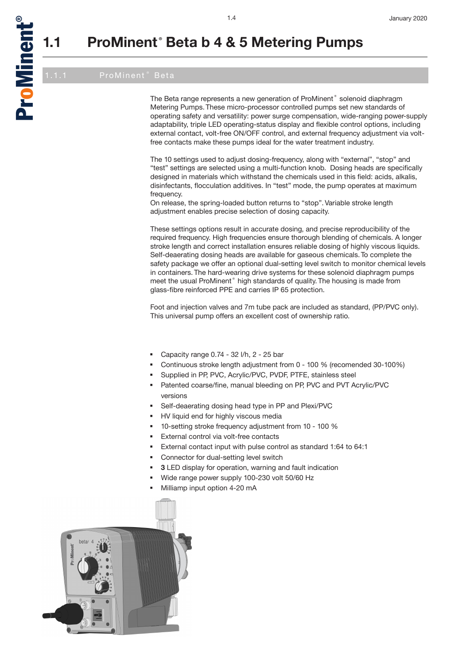a<br>D

oMinent

®

The Beta range represents a new generation of ProMinent® solenoid diaphragm Metering Pumps. These micro-processor controlled pumps set new standards of operating safety and versatility: power surge compensation, wide-ranging power-supply adaptability, triple LED operating-status display and flexible control options, including external contact, volt-free ON/OFF control, and external frequency adjustment via voltfree contacts make these pumps ideal for the water treatment industry.

The 10 settings used to adjust dosing-frequency, along with "external", "stop" and "test" settings are selected using a multi-function knob. Dosing heads are specifically designed in materials which withstand the chemicals used in this field: acids, alkalis, disinfectants, flocculation additives. In "test" mode, the pump operates at maximum frequency.

On release, the spring-loaded button returns to "stop". Variable stroke length adjustment enables precise selection of dosing capacity.

These settings options result in accurate dosing, and precise reproducibility of the required frequency. High frequencies ensure thorough blending of chemicals. A longer stroke length and correct installation ensures reliable dosing of highly viscous liquids. Self-deaerating dosing heads are available for gaseous chemicals. To complete the safety package we offer an optional dual-setting level switch to monitor chemical levels in containers. The hard-wearing drive systems for these solenoid diaphragm pumps meet the usual ProMinent® high standards of quality. The housing is made from glass-fibre reinforced PPE and carries IP 65 protection.

Foot and injection valves and 7m tube pack are included as standard, (PP/PVC only). This universal pump offers an excellent cost of ownership ratio.

- Capacity range 0.74 32 l/h, 2 25 bar
- Continuous stroke length adjustment from 0 100 % (recomended 30-100%)
- Supplied in PP, PVC, Acrylic/PVC, PVDF, PTFE, stainless steel
- Patented coarse/fine, manual bleeding on PP, PVC and PVT Acrylic/PVC versions
- Self-deaerating dosing head type in PP and Plexi/PVC
- HV liquid end for highly viscous media
- 10-setting stroke frequency adjustment from 10 100 %
- External control via volt-free contacts
- External contact input with pulse control as standard 1:64 to 64:1
- Connector for dual-setting level switch
- **3** LED display for operation, warning and fault indication
- Wide range power supply 100-230 volt 50/60 Hz
- Milliamp input option 4-20 mA

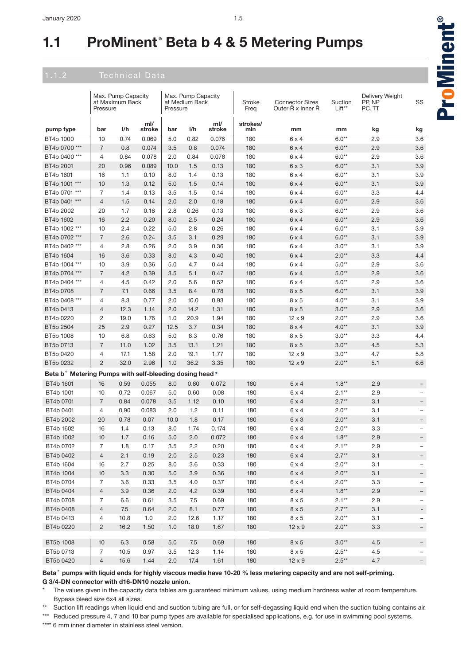|                                                         | Pressure       | Max. Pump Capacity<br>at Maximum Back |               | Pressure | Max. Pump Capacity<br>at Medium Back |               | Stroke<br>Freq  | <b>Connector Sizes</b><br>Outer Ř x Inner Ř | Suction<br>Lift** | Delivery Weight<br>PP, NP<br>PC, TT | SS                       |
|---------------------------------------------------------|----------------|---------------------------------------|---------------|----------|--------------------------------------|---------------|-----------------|---------------------------------------------|-------------------|-------------------------------------|--------------------------|
| pump type                                               | bar            | I/h                                   | ml/<br>stroke | bar      | I/h                                  | ml/<br>stroke | strokes/<br>min | mm                                          | mm                | kg                                  | kg                       |
| BT4b 1000                                               | 10             | 0.74                                  | 0.069         | 5.0      | 0.82                                 | 0.076         | 180             | $6 \times 4$                                | $6.0**$           | 2.9                                 | 3.6                      |
| BT4b 0700 ***                                           | $\overline{7}$ | 0.8                                   | 0.074         | 3.5      | 0.8                                  | 0.074         | 180             | $6 \times 4$                                | $6.0**$           | 2.9                                 | 3.6                      |
| BT4b 0400 ***                                           | $\overline{4}$ | 0.84                                  | 0.078         | 2.0      | 0.84                                 | 0.078         | 180             | $6 \times 4$                                | $6.0**$           | 2.9                                 | 3.6                      |
| BT4b 2001                                               | 20             | 0.96                                  | 0.089         | 10.0     | 1.5                                  | 0.13          | 180             | $6 \times 3$                                | $6.0**$           | 3.1                                 | 3.9                      |
| BT4b 1601                                               | 16             | 1.1                                   | 0.10          | 8.0      | 1.4                                  | 0.13          | 180             | $6 \times 4$                                | $6.0**$           | 3.1                                 | 3.9                      |
| BT4b 1001 ***                                           | 10             | 1.3                                   | 0.12          | 5.0      | 1.5                                  | 0.14          | 180             | $6 \times 4$                                | $6.0**$           | 3.1                                 | 3.9                      |
| BT4b 0701 ***                                           | 7              | 1.4                                   | 0.13          | 3.5      | 1.5                                  | 0.14          | 180             | $6 \times 4$                                | $6.0**$           | 3.3                                 | 4.4                      |
| BT4b 0401 ***                                           | $\overline{4}$ | 1.5                                   | 0.14          | 2.0      | 2.0                                  | 0.18          | 180             | $6 \times 4$                                | $6.0**$           | 2.9                                 | 3.6                      |
| BT4b 2002                                               | 20             | 1.7                                   | 0.16          | 2.8      | 0.26                                 | 0.13          | 180             | $6 \times 3$                                | $6.0**$           | 2.9                                 | 3.6                      |
| BT4b 1602                                               | 16             | 2.2                                   | 0.20          | 8.0      | 2.5                                  | 0.24          | 180             | $6 \times 4$                                | $6.0**$           | 2.9                                 | 3.6                      |
| BT4b 1002 ***                                           | 10             | 2.4                                   | 0.22          | 5.0      | 2.8                                  | 0.26          | 180             | $6 \times 4$                                | $6.0**$           | 3.1                                 | 3.9                      |
| BT4b 0702 ***                                           | $\overline{7}$ | 2.6                                   | 0.24          | 3.5      | 3.1                                  | 0.29          | 180             | $6 \times 4$                                | $6.0**$           | 3.1                                 | 3.9                      |
| BT4b 0402 ***                                           | 4              | 2.8                                   | 0.26          | 2.0      | 3.9                                  | 0.36          | 180             | $6 \times 4$                                | $3.0**$           | 3.1                                 | 3.9                      |
| BT4b 1604                                               | 16             | 3.6                                   | 0.33          | 8.0      | 4.3                                  | 0.40          | 180             | $6 \times 4$                                | $2.0**$           | 3.3                                 | 4.4                      |
| BT4b 1004 ***                                           | 10             | 3.9                                   | 0.36          | 5.0      | 4.7                                  | 0.44          | 180             | $6 \times 4$                                | $5.0**$           | 2.9                                 | 3.6                      |
| BT4b 0704 ***                                           | $\overline{7}$ | 4.2                                   | 0.39          | 3.5      | 5.1                                  | 0.47          | 180             | $6 \times 4$                                | $5.0**$           | 2.9                                 | 3.6                      |
| BT4b 0404 ***                                           | $\overline{4}$ | 4.5                                   | 0.42          | 2.0      | 5.6                                  | 0.52          | 180             | $6 \times 4$                                | $5.0**$           | 2.9                                 | 3.6                      |
| BT4b 0708                                               | $\overline{7}$ | 7.1                                   | 0.66          | 3.5      | 8.4                                  | 0.78          | 180             | $8 \times 5$                                | $6.0**$           | 3.1                                 | 3.9                      |
| BT4b 0408 ***                                           | $\overline{4}$ | 8.3                                   | 0.77          | 2.0      | 10.0                                 | 0.93          | 180             | $8 \times 5$                                | $4.0**$           | 3.1                                 | 3.9                      |
| BT4b 0413                                               | $\overline{4}$ | 12.3                                  | 1.14          | 2.0      | 14.2                                 | 1.31          | 180             | $8 \times 5$                                | $3.0**$           | 2.9                                 | 3.6                      |
| BT4b 0220                                               | 2              | 19.0                                  | 1.76          | 1.0      | 20.9                                 | 1.94          | 180             | $12 \times 9$                               | $2.0**$           | 2.9                                 | 3.6                      |
| BT5b 2504                                               | 25             | 2.9                                   | 0.27          | 12.5     | 3.7                                  | 0.34          | 180             | $8 \times 4$                                | $4.0**$           | 3.1                                 | 3.9                      |
| BT5b 1008                                               | 10             | 6.8                                   | 0.63          | 5.0      | 8.3                                  | 0.76          | 180             | $8 \times 5$                                | $3.0**$           | 3.3                                 | 4.4                      |
| BT5b 0713                                               | $\overline{7}$ | 11.0                                  | 1.02          | 3.5      | 13.1                                 | 1.21          | 180             | 8x5                                         | $3.0**$           | 4.5                                 | 5.3                      |
| BT5b 0420                                               | 4              | 17.1                                  | 1.58          | 2.0      | 19.1                                 | 1.77          | 180             | $12 \times 9$                               | $3.0**$           | 4.7                                 | 5.8                      |
| BT5b 0232                                               | $\overline{c}$ | 32.0                                  | 2.96          | 1.0      | 36.2                                 | 3.35          | 180             | $12 \times 9$                               | $2.0**$           | 5.1                                 | 6.6                      |
| Beta b° Metering Pumps with self-bleeding dosing head * |                |                                       |               |          |                                      |               |                 |                                             |                   |                                     |                          |
| BT4b 1601                                               |                |                                       | 0.055         |          |                                      |               |                 |                                             | $1.8**$           | 2.9                                 |                          |
|                                                         | 16             | 0.59                                  |               | 8.0      | 0.80                                 | 0.072         | 180             | $6 \times 4$                                |                   |                                     |                          |
| BT4b 1001                                               | 10             | 0.72                                  | 0.067         | 5.0      | 0.60                                 | 0.08          | 180             | 6 x 4                                       | $2.1**$           | 2.9                                 | $\overline{\phantom{0}}$ |
| BT4b 0701                                               | $\overline{7}$ | 0.84                                  | 0.078         | 3.5      | 1.12                                 | 0.10          | 180             | $6 \times 4$                                | $2.7**$           | 3.1                                 | —                        |
| BT4b 0401                                               | $\overline{4}$ | 0.90                                  | 0.083         | 2.0      | 1.2                                  | 0.11          | 180             | $6 \times 4$                                | $2.0**$           | 3.1                                 | -                        |
| BT4b 2002                                               | 20             | 0.78                                  | 0.07          | 10.0     | 1.8                                  | 0.17          | 180             | $6 \times 3$                                | $2.0**$           | 3.1                                 | -                        |
| BT4b 1602                                               | 16             | 1.4                                   | 0.13          | 8.0      | 1.74                                 | 0.174         | 180             | $6 \times 4$                                | $2.0**$           | 3.3                                 | -                        |
| BT4b 1002                                               | 10             | 1.7                                   | 0.16          | 5.0      | 2.0                                  | 0.072         | 180             | 6 x 4                                       | $1.8**$           | 2.9                                 | $\overline{\phantom{m}}$ |
| BT4b 0702                                               | $\overline{7}$ | 1.8                                   | 0.17          | 3.5      | 2.2                                  | 0.20          | 180             | $6 \times 4$                                | $2.1**$           | 2.9                                 |                          |
| BT4b 0402                                               | $\overline{4}$ | 2.1                                   | 0.19          | 2.0      | 2.5                                  | 0.23          | 180             | $6 \times 4$                                | $2.7**$           | 3.1                                 |                          |
| BT4b 1604                                               | 16             | 2.7                                   | 0.25          | 8.0      | 3.6                                  | 0.33          | 180             | $6 \times 4$                                | $2.0**$           | 3.1                                 | $\qquad \qquad -$        |
| BT4b 1004                                               | 10             | 3.3                                   | 0.30          | 5.0      | 3.9                                  | 0.36          | 180             | $6 \times 4$                                | $2.0**$           | 3.1                                 |                          |
| BT4b 0704                                               | $\overline{7}$ | 3.6                                   | 0.33          | 3.5      | 4.0                                  | 0.37          | 180             | $6 \times 4$                                | $2.0**$           | 3.3                                 | -                        |
| BT4b 0404                                               | $\overline{4}$ | 3.9                                   | 0.36          | 2.0      | 4.2                                  | 0.39          | 180             | $6 \times 4$                                | $1.8**$           | 2.9                                 | -                        |
| BT4b 0708                                               | 7              | 6.6                                   | 0.61          | 3.5      | 7.5                                  | 0.69          | 180             | $8 \times 5$                                | $2.1**$           | 2.9                                 | -                        |
| BT4b 0408                                               | $\overline{4}$ | 7.5                                   | 0.64          | 2.0      | 8.1                                  | 0.77          | 180             | $8\times 5$                                 | $2.7**$           | 3.1                                 | Ξ.                       |
| BT4b 0413                                               | 4              | 10.8                                  | 1.0           | 2.0      | 12.6                                 | 1.17          | 180             | $8 \times 5$                                | $2.0**$           | 3.1                                 | -                        |
| BT4b 0220                                               | $\overline{c}$ | 16.2                                  | 1.50          | 1.0      | 18.0                                 | 1.67          | 180             | $12 \times 9$                               | $2.0**$           | 3.3                                 | -                        |
| BT5b 1008                                               | 10             | 6.3                                   | 0.58          | 5.0      | 7.5                                  | 0.69          | 180             | $8 \times 5$                                | $3.0**$           | 4.5                                 | -                        |
| BT5b 0713                                               | $\overline{7}$ | 10.5                                  | 0.97          | 3.5      | 12.3                                 | 1.14          | 180             | $8 \times 5$                                | $2.5***$          | 4.5                                 |                          |
| BT5b 0420                                               | $\overline{4}$ | 15.6                                  | 1.44          | 2.0      | 17.4                                 | 1.61          | 180             | $12 \times 9$                               | $2.5***$          | 4.7                                 | $-$                      |

**Beta® pumps with liquid ends for highly viscous media have 10-20 % less metering capacity and are not self-priming. G 3/4-DN connector with d16-DN10 nozzle union.**

- The values given in the capacity data tables are guaranteed minimum values, using medium hardness water at room temperature. Bypass bleed size 6x4 all sizes.
- \*\* Suction lift readings when liquid end and suction tubing are full, or for self-degassing liquid end when the suction tubing contains air.
- \*\*\* Reduced pressure 4, 7 and 10 bar pump types are available for specialised applications, e.g. for use in swimming pool systems.

\*\*\*\* 6 mm inner diameter in stainless steel version.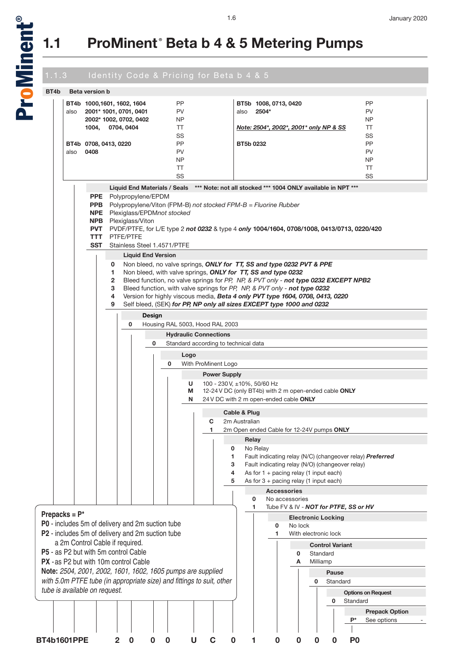

# 1.1.3 Identity Code & Pricing for Beta b 4 & 5

| BT4b                                 | <b>Beta version b</b> |                            |              |                                                  |        |                                                             |                                                                                            |                               |                                                       |                           |          |                        |                                       |                                                           |
|--------------------------------------|-----------------------|----------------------------|--------------|--------------------------------------------------|--------|-------------------------------------------------------------|--------------------------------------------------------------------------------------------|-------------------------------|-------------------------------------------------------|---------------------------|----------|------------------------|---------------------------------------|-----------------------------------------------------------|
|                                      |                       | BT4b 1000,1601, 1602, 1604 |              |                                                  |        | <b>PP</b>                                                   |                                                                                            |                               | BT5b 1008, 0713, 0420                                 |                           |          |                        |                                       | PP                                                        |
| also                                 |                       |                            |              | 2001* 1001, 0701, 0401                           |        | <b>PV</b>                                                   |                                                                                            | also                          | 2504*                                                 |                           |          |                        |                                       | <b>PV</b>                                                 |
|                                      |                       |                            |              | 2002* 1002, 0702, 0402                           |        | NP                                                          |                                                                                            |                               |                                                       |                           |          |                        |                                       | NP                                                        |
|                                      |                       | 1004,                      | 0704, 0404   |                                                  |        | $\top$                                                      |                                                                                            |                               | Note: 2504*, 2002*, 2001* only NP & SS                |                           |          |                        |                                       | $\top$                                                    |
|                                      |                       |                            |              |                                                  |        | SS                                                          |                                                                                            |                               |                                                       |                           |          |                        |                                       | SS                                                        |
|                                      |                       | BT4b 0708, 0413, 0220      |              |                                                  |        | <b>PP</b>                                                   |                                                                                            | BT5b 0232                     |                                                       |                           |          |                        |                                       | <b>PP</b>                                                 |
| also                                 | 0408                  |                            |              |                                                  |        | <b>PV</b>                                                   |                                                                                            |                               |                                                       |                           |          |                        |                                       | <b>PV</b>                                                 |
|                                      |                       |                            |              |                                                  |        | <b>NP</b>                                                   |                                                                                            |                               |                                                       |                           |          |                        |                                       | NP                                                        |
|                                      |                       |                            |              |                                                  |        | $\top$<br>SS                                                |                                                                                            |                               |                                                       |                           |          |                        |                                       | $\top$<br>SS                                              |
|                                      |                       |                            |              |                                                  |        |                                                             |                                                                                            |                               |                                                       |                           |          |                        |                                       |                                                           |
|                                      |                       |                            |              | <b>Liquid End Materials / Seals</b>              |        |                                                             | *** Note: not all stocked *** 1004 ONLY available in NPT ***                               |                               |                                                       |                           |          |                        |                                       |                                                           |
|                                      |                       |                            |              | <b>PPE</b> Polypropylene/EPDM                    |        |                                                             |                                                                                            |                               |                                                       |                           |          |                        |                                       |                                                           |
|                                      |                       | <b>PPB</b>                 |              |                                                  |        |                                                             | Polypropylene/Viton (FPM-B) not stocked $FPM-B = Fluorine Rubber$                          |                               |                                                       |                           |          |                        |                                       |                                                           |
|                                      |                       | <b>NPE</b><br><b>NPB</b>   |              | Plexiglass/Viton                                 |        | Plexiglass/EPDMnot stocked                                  |                                                                                            |                               |                                                       |                           |          |                        |                                       |                                                           |
|                                      |                       | <b>PVT</b>                 |              |                                                  |        |                                                             | PVDF/PTFE, for L/E type 2 not 0232 & type 4 only 1004/1604, 0708/1008, 0413/0713, 0220/420 |                               |                                                       |                           |          |                        |                                       |                                                           |
|                                      |                       | <b>TTT</b>                 | PTFE/PTFE    |                                                  |        |                                                             |                                                                                            |                               |                                                       |                           |          |                        |                                       |                                                           |
|                                      |                       | <b>SST</b>                 |              | Stainless Steel 1.4571/PTFE                      |        |                                                             |                                                                                            |                               |                                                       |                           |          |                        |                                       |                                                           |
|                                      |                       |                            |              | <b>Liquid End Version</b>                        |        |                                                             |                                                                                            |                               |                                                       |                           |          |                        |                                       |                                                           |
|                                      |                       |                            | 0            |                                                  |        |                                                             | Non bleed, no valve springs, ONLY for TT, SS and type 0232 PVT & PPE                       |                               |                                                       |                           |          |                        |                                       |                                                           |
|                                      |                       |                            | 1.           |                                                  |        |                                                             | Non bleed, with valve springs, ONLY for TT, SS and type 0232                               |                               |                                                       |                           |          |                        |                                       |                                                           |
|                                      |                       |                            | $\mathbf{2}$ |                                                  |        |                                                             | Bleed function, no valve springs for PP, NP, & PVT only - not type 0232 EXCEPT NPB2        |                               |                                                       |                           |          |                        |                                       |                                                           |
|                                      |                       |                            | 3            |                                                  |        |                                                             | Bleed function, with valve springs for PP, NP, & PVT only - not type 0232                  |                               |                                                       |                           |          |                        |                                       |                                                           |
|                                      |                       |                            | 4            |                                                  |        |                                                             | Version for highly viscous media, Beta 4 only PVT type 1604, 0708, 0413, 0220              |                               |                                                       |                           |          |                        |                                       |                                                           |
|                                      |                       |                            | 9            |                                                  |        |                                                             | Self bleed, (SEK) for PP, NP only all sizes EXCEPT type 1000 and 0232                      |                               |                                                       |                           |          |                        |                                       |                                                           |
|                                      |                       |                            |              |                                                  | Design |                                                             |                                                                                            |                               |                                                       |                           |          |                        |                                       |                                                           |
|                                      |                       |                            |              | 0                                                |        |                                                             | Housing RAL 5003, Hood RAL 2003                                                            |                               |                                                       |                           |          |                        |                                       |                                                           |
|                                      |                       |                            |              |                                                  |        |                                                             | <b>Hydraulic Connections</b>                                                               |                               |                                                       |                           |          |                        |                                       |                                                           |
|                                      |                       |                            |              |                                                  | 0      |                                                             | Standard according to technical data                                                       |                               |                                                       |                           |          |                        |                                       |                                                           |
|                                      |                       |                            |              |                                                  |        | Logo                                                        |                                                                                            |                               |                                                       |                           |          |                        |                                       |                                                           |
|                                      |                       |                            |              |                                                  |        | 0                                                           | With ProMinent Logo                                                                        |                               |                                                       |                           |          |                        |                                       |                                                           |
|                                      |                       |                            |              |                                                  |        |                                                             | <b>Power Supply</b>                                                                        |                               |                                                       |                           |          |                        |                                       |                                                           |
|                                      |                       |                            |              |                                                  |        | U                                                           | 100 - 230 V, ±10%, 50/60 Hz                                                                |                               |                                                       |                           |          |                        |                                       |                                                           |
|                                      |                       |                            |              |                                                  |        | M                                                           |                                                                                            |                               | 12-24 V DC (only BT4b) with 2 m open-ended cable ONLY |                           |          |                        |                                       |                                                           |
|                                      |                       |                            |              |                                                  |        | N                                                           |                                                                                            |                               | 24 V DC with 2 m open-ended cable ONLY                |                           |          |                        |                                       |                                                           |
|                                      |                       |                            |              |                                                  |        |                                                             |                                                                                            |                               |                                                       |                           |          |                        |                                       |                                                           |
|                                      |                       |                            |              |                                                  |        |                                                             |                                                                                            | Cable & Plug<br>2m Australian |                                                       |                           |          |                        |                                       |                                                           |
|                                      |                       |                            |              |                                                  |        |                                                             | C<br>1.                                                                                    |                               | 2m Open ended Cable for 12-24V pumps ONLY             |                           |          |                        |                                       |                                                           |
|                                      |                       |                            |              |                                                  |        |                                                             |                                                                                            |                               |                                                       |                           |          |                        |                                       |                                                           |
|                                      |                       |                            |              |                                                  |        |                                                             | $\mathbf{I}$                                                                               | 0                             | Relay<br>No Relay                                     |                           |          |                        |                                       |                                                           |
|                                      |                       |                            |              |                                                  |        |                                                             |                                                                                            | 1                             |                                                       |                           |          |                        |                                       | Fault indicating relay (N/C) (changeover relay) Preferred |
|                                      |                       |                            |              |                                                  |        |                                                             |                                                                                            | 3                             | Fault indicating relay (N/O) (changeover relay)       |                           |          |                        |                                       |                                                           |
|                                      |                       |                            |              |                                                  |        |                                                             |                                                                                            | 4                             | As for $1 +$ pacing relay (1 input each)              |                           |          |                        |                                       |                                                           |
|                                      |                       |                            |              |                                                  |        |                                                             |                                                                                            | 5                             | As for $3 +$ pacing relay (1 input each)              |                           |          |                        |                                       |                                                           |
|                                      |                       |                            |              |                                                  |        |                                                             |                                                                                            |                               | <b>Accessories</b>                                    |                           |          |                        |                                       |                                                           |
|                                      |                       |                            |              |                                                  |        |                                                             |                                                                                            |                               | 0                                                     | No accessories            |          |                        |                                       |                                                           |
|                                      |                       |                            |              |                                                  |        |                                                             |                                                                                            |                               | 1                                                     |                           |          |                        | Tube FV & IV - NOT for PTFE, SS or HV |                                                           |
| Prepacks = $P^*$                     |                       |                            |              |                                                  |        |                                                             |                                                                                            |                               |                                                       | <b>Electronic Locking</b> |          |                        |                                       |                                                           |
|                                      |                       |                            |              | P0 - includes 5m of delivery and 2m suction tube |        |                                                             |                                                                                            |                               | $\mathbf 0$                                           | No lock                   |          |                        |                                       |                                                           |
|                                      |                       |                            |              | P2 - includes 5m of delivery and 2m suction tube |        |                                                             |                                                                                            |                               | 1                                                     | With electronic lock      |          |                        |                                       |                                                           |
| a 2m Control Cable if required.      |                       |                            |              |                                                  |        |                                                             |                                                                                            |                               |                                                       |                           |          | <b>Control Variant</b> |                                       |                                                           |
| P5 - as P2 but with 5m control Cable |                       |                            |              |                                                  |        |                                                             |                                                                                            |                               |                                                       | 0                         | Standard |                        |                                       |                                                           |
|                                      |                       |                            |              | <b>PX</b> - as P2 but with 10m control Cable     |        |                                                             |                                                                                            |                               |                                                       | A                         | Milliamp |                        |                                       |                                                           |
|                                      |                       |                            |              |                                                  |        | Note: 2504, 2001, 2002, 1601, 1602, 1605 pumps are supplied |                                                                                            |                               |                                                       |                           |          | Pause                  |                                       |                                                           |
|                                      |                       |                            |              |                                                  |        |                                                             | with 5.0m PTFE tube (in appropriate size) and fittings to suit, other                      |                               |                                                       |                           | 0        |                        | Standard                              |                                                           |
| tube is available on request.        |                       |                            |              |                                                  |        |                                                             |                                                                                            |                               |                                                       |                           |          |                        |                                       | <b>Options on Request</b>                                 |
|                                      |                       |                            |              |                                                  |        |                                                             |                                                                                            |                               |                                                       |                           |          | 0                      | Standard                              |                                                           |
|                                      |                       |                            |              |                                                  |        |                                                             |                                                                                            |                               |                                                       |                           |          |                        |                                       | <b>Prepack Option</b>                                     |
|                                      |                       |                            |              |                                                  |        |                                                             |                                                                                            |                               |                                                       |                           |          |                        | P*                                    | See options                                               |
|                                      |                       |                            |              |                                                  |        |                                                             |                                                                                            |                               |                                                       |                           |          |                        |                                       |                                                           |
|                                      |                       |                            |              |                                                  |        |                                                             |                                                                                            |                               |                                                       |                           |          |                        |                                       |                                                           |
| <b>BT4b1601PPE</b>                   |                       |                            | 2            | 0                                                | O      | 0<br>U                                                      | С                                                                                          | 0                             | 0<br>1                                                | 0                         | 0        | 0                      | P <sub>0</sub>                        |                                                           |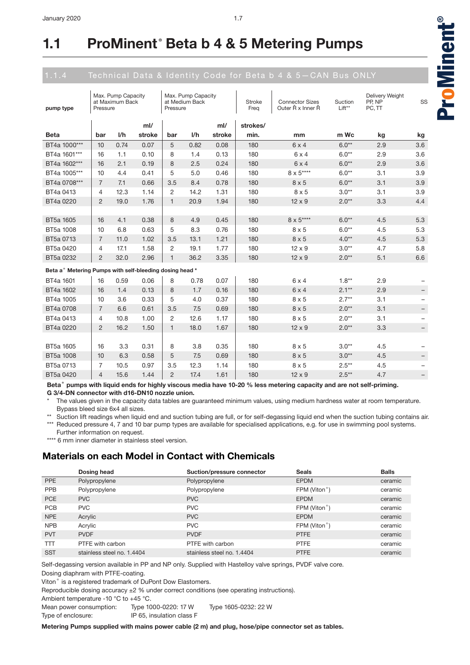| pump type                                                           | Pressure       | Max. Pump Capacity<br>at Maximum Back |        | Pressure       | Max. Pump Capacity<br>at Medium Back |        | Stroke<br>Freq | <b>Connector Sizes</b><br>Outer Ř x Inner Ř | Suction<br>Lift** | Delivery Weight<br>PP, NP<br>PC, TT | SS                       |
|---------------------------------------------------------------------|----------------|---------------------------------------|--------|----------------|--------------------------------------|--------|----------------|---------------------------------------------|-------------------|-------------------------------------|--------------------------|
|                                                                     |                |                                       | ml/    |                |                                      | ml/    | strokes/       |                                             |                   |                                     |                          |
| <b>Beta</b>                                                         | bar            | 1/h                                   | stroke | bar            | 1/h                                  | stroke | min.           | mm                                          | m Wc              | kg                                  | kg                       |
| BT4a 1000***                                                        | 10             | 0.74                                  | 0.07   | 5              | 0.82                                 | 0.08   | 180            | $6 \times 4$                                | $6.0**$           | 2.9                                 | 3.6                      |
| BT4a 1601***                                                        | 16             | 1.1                                   | 0.10   | 8              | 1.4                                  | 0.13   | 180            | $6 \times 4$                                | $6.0**$           | 2.9                                 | 3.6                      |
| BT4a 1602***                                                        | 16             | 2.1                                   | 0.19   | 8              | 2.5                                  | 0.24   | 180            | $6 \times 4$                                | $6.0**$           | 2.9                                 | 3.6                      |
| BT4a 1005***                                                        | 10             | 4.4                                   | 0.41   | 5              | 5.0                                  | 0.46   | 180            | $8 \times 5***$                             | $6.0**$           | 3.1                                 | 3.9                      |
| BT4a 0708***                                                        | $\overline{7}$ | 7.1                                   | 0.66   | 3.5            | 8.4                                  | 0.78   | 180            | $8 \times 5$                                | $6.0**$           | 3.1                                 | 3.9                      |
| BT4a 0413                                                           | 4              | 12.3                                  | 1.14   | 2              | 14.2                                 | 1.31   | 180            | $8 \times 5$                                | $3.0**$           | 3.1                                 | 3.9                      |
| BT4a 0220                                                           | $\overline{2}$ | 19.0                                  | 1.76   | $\mathbf{1}$   | 20.9                                 | 1.94   | 180            | $12 \times 9$                               | $2.0**$           | 3.3                                 | 4.4                      |
|                                                                     |                |                                       |        |                |                                      |        |                |                                             |                   |                                     |                          |
| BT5a 1605                                                           | 16             | 4.1                                   | 0.38   | 8              | 4.9                                  | 0.45   | 180            | $8\times5***$                               | $6.0**$           | 4.5                                 | 5.3                      |
| BT5a 1008                                                           | 10             | 6.8                                   | 0.63   | 5              | 8.3                                  | 0.76   | 180            | $8 \times 5$                                | $6.0**$           | 4.5                                 | 5.3                      |
| BT5a 0713                                                           | $\overline{7}$ | 11.0                                  | 1.02   | 3.5            | 13.1                                 | 1.21   | 180            | $8 \times 5$                                | $4.0**$           | 4.5                                 | 5.3                      |
| BT5a 0420                                                           | 4              | 17.1                                  | 1.58   | 2              | 19.1                                 | 1.77   | 180            | $12 \times 9$                               | $3.0**$           | 4.7                                 | 5.8                      |
| BT5a 0232                                                           | $\overline{2}$ | 32.0                                  | 2.96   | $\mathbf{1}$   | 36.2                                 | 3.35   | 180            | $12 \times 9$                               | $2.0**$           | 5.1                                 | 6.6                      |
| Beta a <sup>®</sup> Metering Pumps with self-bleeding dosing head * |                |                                       |        |                |                                      |        |                |                                             |                   |                                     |                          |
| BT4a 1601                                                           | 16             | 0.59                                  | 0.06   | 8              | 0.78                                 | 0.07   | 180            | $6 \times 4$                                | $1.8**$           | 2.9                                 |                          |
| BT4a 1602                                                           | 16             | 1.4                                   | 0.13   | 8              | 1.7                                  | 0.16   | 180            | 6x4                                         | $2.1**$           | 2.9                                 |                          |
| BT4a 1005                                                           | 10             | 3.6                                   | 0.33   | 5              | 4.0                                  | 0.37   | 180            | $8 \times 5$                                | $2.7**$           | 3.1                                 | $\qquad \qquad -$        |
| BT4a 0708                                                           | $\overline{7}$ | 6.6                                   | 0.61   | 3.5            | 7.5                                  | 0.69   | 180            | $8 \times 5$                                | $2.0**$           | 3.1                                 |                          |
| BT4a 0413                                                           | 4              | 10.8                                  | 1.00   | $\overline{2}$ | 12.6                                 | 1.17   | 180            | $8 \times 5$                                | $2.0**$           | 3.1                                 | $\qquad \qquad -$        |
| BT4a 0220                                                           | $\overline{c}$ | 16.2                                  | 1.50   | $\mathbf{1}$   | 18.0                                 | 1.67   | 180            | $12 \times 9$                               | $2.0**$           | 3.3                                 | $\overline{\phantom{m}}$ |
|                                                                     |                |                                       |        |                |                                      |        |                |                                             |                   |                                     |                          |
| BT5a 1605                                                           | 16             | 3.3                                   | 0.31   | 8              | 3.8                                  | 0.35   | 180            | $8 \times 5$                                | $3.0**$           | 4.5                                 |                          |
| BT5a 1008                                                           | 10             | 6.3                                   | 0.58   | 5              | 7.5                                  | 0.69   | 180            | $8 \times 5$                                | $3.0**$           | 4.5                                 | -                        |
| BT5a 0713                                                           | 7              | 10.5                                  | 0.97   | 3.5            | 12.3                                 | 1.14   | 180            | $8 \times 5$                                | $2.5**$           | 4.5                                 | $\qquad \qquad -$        |
| BT5a 0420                                                           | $\overline{4}$ | 15.6                                  | 1.44   | $\overline{2}$ | 17.4                                 | 1.61   | 180            | $12 \times 9$                               | $2.5**$           | 4.7                                 | -                        |

Beta<sup>®</sup> pumps with liquid ends for highly viscous media have 10-20 % less metering capacity and are not self-priming. **G 3/4-DN connector with d16-DN10 nozzle union.**

The values given in the capacity data tables are guaranteed minimum values, using medium hardness water at room temperature. Bypass bleed size 6x4 all sizes.

Suction lift readings when liquid end and suction tubing are full, or for self-degassing liquid end when the suction tubing contains air. \*\*\* Reduced pressure 4, 7 and 10 bar pump types are available for specialised applications, e.g. for use in swimming pool systems.

Further information on request.

\*\*\*\* 6 mm inner diameter in stainless steel version.

## **Materials on each Model in Contact with Chemicals**

|            | Dosing head                | Suction/pressure connector | <b>Seals</b>              | <b>Balls</b> |
|------------|----------------------------|----------------------------|---------------------------|--------------|
| <b>PPE</b> | Polypropylene              | Polypropylene              | <b>EPDM</b>               | ceramic      |
| <b>PPB</b> | Polypropylene              | Polypropylene              | FPM (Viton <sup>®</sup> ) | ceramic      |
| <b>PCE</b> | <b>PVC</b>                 | <b>PVC</b>                 | <b>EPDM</b>               | ceramic      |
| <b>PCB</b> | <b>PVC</b>                 | <b>PVC</b>                 | FPM (Viton <sup>®</sup> ) | ceramic      |
| <b>NPE</b> | Acrylic                    | <b>PVC</b>                 | <b>EPDM</b>               | ceramic      |
| <b>NPB</b> | Acrylic                    | <b>PVC</b>                 | FPM (Viton <sup>®</sup> ) | ceramic      |
| <b>PVT</b> | <b>PVDF</b>                | <b>PVDF</b>                | <b>PTFE</b>               | ceramic      |
| <b>TTT</b> | PTFE with carbon           | PTFE with carbon           | <b>PTFE</b>               | ceramic      |
| <b>SST</b> | stainless steel no. 1.4404 | stainless steel no. 1.4404 | <b>PTFE</b>               | ceramic      |

Self-degassing version available in PP and NP only. Supplied with Hastelloy valve springs, PVDF valve core.

Dosing diaphram with PTFE-coating.

Viton<sup>®</sup> is a registered trademark of DuPont Dow Elastomers.

Reproducible dosing accuracy  $\pm 2$  % under correct conditions (see operating instructions).

Ambient temperature -10 °C to +45 °C.

Mean power consumption: Type 1000-0220: 17 W Type 1605-0232: 22 W Type of enclosure: IP 65, insulation class F

**Metering Pumps supplied with mains power cable (2 m) and plug, hose/pipe connector set as tables.**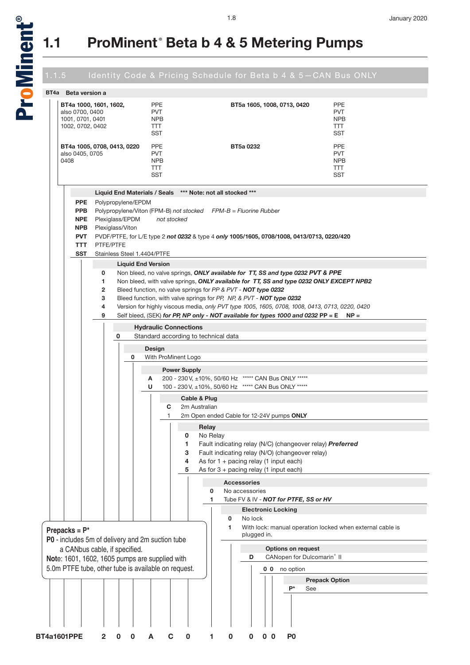

### **BT4a Beta version a BT4a 1000, 1601, 1602,** also 0700, 0400 1001, 0701, 0401 1002, 0702, 0402 PPE **PVT** NPB TTT **SST BT5a 1605, 1008, 0713, 0420** PPE **PVT NPR** TTT SST **BT4a 1005, 0708, 0413, 0220** also 0405, 0705 0408 PPE PVT NPB TTT **SST BT5a 0232** PPE PVT NPB TTT **SST Liquid End Materials / Seals \*\*\* Note: not all stocked \*\*\* PPE** Polypropylene/EPDM **PPB** Polypropylene/Viton (FPM-B) *not stocked FPM-B = Fluorine Rubber* **NPE** Plexiglass/EPDM *not stocked* **NPB** Plexiglass/Viton **PVT** PVDF/PTFE, for L/E type 2 *not 0232* & type 4 *only* **1005/1605, 0708/1008, 0413/0713, 0220/420 TTT** PTFE/PTFE **SST** Stainless Steel 1.4404/PTFE **Liquid End Version 0** Non bleed, no valve springs, *ONLY available for TT, SS and type 0232 PVT & PPE* **1** Non bleed, with valve springs, *ONLY available for TT, SS and type 0232 ONLY EXCEPT NPB2* **2** Bleed function, no valve springs for *PP & PVT - NOT type 0232* **3** Bleed function, with valve springs for *PP, NP, & PVT - NOT type 0232* **4** Version for highly viscous media, *only PVT type 1005, 1605, 0708, 1008, 0413, 0713, 0220, 0420* **9** Self bleed, (SEK) *for PP, NP only - NOT available for types 1000 and 0232* **PP = E NP = Hydraulic Connections 0** Standard according to technical data **Design 0** With ProMinent Logo **Power Supply A** 200 - 230 V, ±10%, 50/60 Hz \*\*\*\*\* CAN Bus ONLY \*\*\*\*\* **U** 100 - 230 V, ±10%, 50/60 Hz \*\*\*\*\* CAN Bus ONLY \*\*\*\*\* **Cable & Plug C** 2m Australian 1 2m Open ended Cable for 12-24V pumps **ONLY Relay 0** No Relay **1** Fault indicating relay (N/C) (changeover relay) *Preferred* **3** Fault indicating relay (N/O) (changeover relay) **4** As for 1 + pacing relay (1 input each) **5** As for 3 + pacing relay (1 input each) **Accessories 0** No accessories **1** Tube FV & IV - *NOT for PTFE, SS or HV* **Electronic Locking 0** No lock **1** With lock: manual operation locked when external cable is plugged in. **Options on request D** CANopen for Dulcomarin<sup>®</sup> II **0 0** no option **BT4a1601PPE 2 0 0 A C 0 1 0 0 0 0 P0 Prepack Option P\*** See **Prepacks = P\* P0** - includes 5m of delivery and 2m suction tube a CANbus cable, if specified. **Not**e: 1601, 1602, 1605 pumps are supplied with 5.0m PTFE tube, other tube is available on request.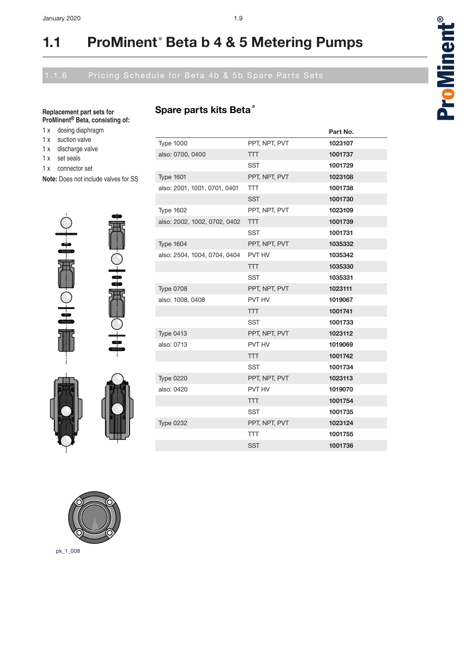## **Spare parts kits Beta®**

**Replacement part sets for ProMinent® Beta, consisting of:**

- 1 x dosing diaphragm
- 1 x suction valve
- 1 x discharge valve
- 1 x set seals
- 1 x connector set
- **Note:** Does not include valves for SS



40F

|                              |               | Part No. |
|------------------------------|---------------|----------|
| <b>Type 1000</b>             | PPT, NPT, PVT | 1023107  |
| also: 0700, 0400             | <b>TTT</b>    | 1001737  |
|                              | SST           | 1001729  |
| <b>Type 1601</b>             | PPT, NPT, PVT | 1023108  |
| also: 2001, 1001, 0701, 0401 | <b>TTT</b>    | 1001738  |
|                              | <b>SST</b>    | 1001730  |
| <b>Type 1602</b>             | PPT. NPT. PVT | 1023109  |
| also: 2002, 1002, 0702, 0402 | <b>TTT</b>    | 1001739  |
|                              | <b>SST</b>    | 1001731  |
| <b>Type 1604</b>             | PPT. NPT. PVT | 1035332  |
| also: 2504, 1004, 0704, 0404 | PVT HV        | 1035342  |
|                              | <b>TTT</b>    | 1035330  |
|                              | SST           | 1035331  |
| <b>Type 0708</b>             | PPT, NPT, PVT | 1023111  |
| also: 1008, 0408             | PVT HV        | 1019067  |
|                              | <b>TTT</b>    | 1001741  |
|                              | SST           | 1001733  |
| <b>Type 0413</b>             | PPT. NPT. PVT | 1023112  |
| also: 0713                   | PVT HV        | 1019069  |
|                              | <b>TTT</b>    | 1001742  |
|                              | <b>SST</b>    | 1001734  |
| <b>Type 0220</b>             | PPT, NPT, PVT | 1023113  |
| also: 0420                   | PVT HV        | 1019070  |
|                              | <b>TTT</b>    | 1001754  |
|                              | SST           | 1001735  |
| <b>Type 0232</b>             | PPT, NPT, PVT | 1023124  |
|                              | <b>TTT</b>    | 1001755  |
|                              | <b>SST</b>    | 1001736  |



pk\_1\_008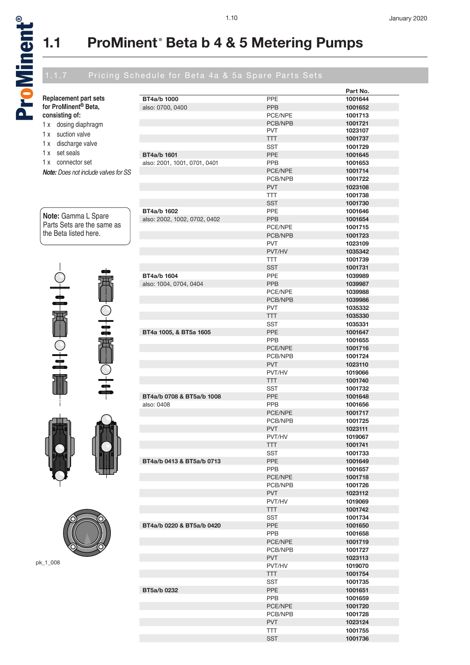a<br>D

®

## 1.10 January 2020

## 1.1.7 Pricing Schedule for Beta 4a & 5a Spare Parts Sets

|                                             |                              |                       | Part No.           |
|---------------------------------------------|------------------------------|-----------------------|--------------------|
| <b>Replacement part sets</b>                | BT4a/b 1000                  | <b>PPE</b>            | 1001644            |
| for ProMinent <sup>®</sup> Beta,            | also: 0700, 0400             | <b>PPB</b>            | 1001652            |
| consisting of:                              |                              | PCE/NPE               | 1001713            |
| 1 x dosing diaphragm                        |                              | PCB/NPB               | 1001721            |
| suction valve<br>1 x                        |                              | <b>PVT</b><br>TTT     | 1023107<br>1001737 |
| discharge valve<br>1x                       |                              | <b>SST</b>            | 1001729            |
| set seals<br>1 x                            | BT4a/b 1601                  | <b>PPE</b>            | 1001645            |
| connector set<br>1x                         | also: 2001, 1001, 0701, 0401 | <b>PPB</b>            | 1001653            |
| <b>Note:</b> Does not include valves for SS |                              | PCE/NPE               | 1001714            |
|                                             |                              | PCB/NPB               | 1001722            |
|                                             |                              | <b>PVT</b>            | 1023108            |
|                                             |                              | <b>TTT</b>            | 1001738            |
|                                             |                              | <b>SST</b>            | 1001730            |
|                                             | BT4a/b 1602                  | <b>PPE</b>            | 1001646            |
| Note: Gamma L Spare                         | also: 2002, 1002, 0702, 0402 | PPB                   | 1001654            |
| Parts Sets are the same as                  |                              | PCE/NPE               | 1001715            |
| the Beta listed here.                       |                              | PCB/NPB               | 1001723            |
|                                             |                              | <b>PVT</b>            | 1023109            |
|                                             |                              | PVT/HV                | 1035342            |
|                                             |                              | TTT                   | 1001739            |
|                                             |                              | <b>SST</b>            | 1001731            |
|                                             | BT4a/b 1604                  | <b>PPE</b>            | 1039989            |
|                                             | also: 1004, 0704, 0404       | <b>PPB</b>            | 1039987            |
| $\frac{1}{\frac{1}{2}}$                     |                              | PCE/NPE               | 1039988            |
|                                             |                              | PCB/NPB               | 1039986            |
|                                             |                              | <b>PVT</b>            | 1035332            |
| 审                                           |                              | <b>TTT</b>            | 1035330            |
| $+$                                         |                              | SST                   | 1035331            |
|                                             | BT4a 1005, & BT5a 1605       | PPE                   | 1001647            |
| 冊                                           |                              | <b>PPB</b>            | 1001655            |
|                                             |                              | PCE/NPE               | 1001716            |
|                                             |                              | PCB/NPB<br><b>PVT</b> | 1001724<br>1023110 |
| $\frac{1}{2}$                               |                              | PVT/HV                | 1019066            |
|                                             |                              | TТТ                   | 1001740            |
| $\frac{1}{1}$                               |                              | <b>SST</b>            | 1001732            |
|                                             | BT4a/b 0708 & BT5a/b 1008    | <b>PPE</b>            | 1001648            |
|                                             | also: 0408                   | <b>PPB</b>            | 1001656            |
|                                             |                              | PCE/NPE               | 1001717            |
|                                             |                              | PCB/NPB               | 1001725            |
|                                             |                              | <b>PVT</b>            | 1023111            |
|                                             |                              | PVT/HV                | 1019067            |
|                                             |                              | <b>TTT</b>            | 1001741            |
|                                             |                              | SST                   | 1001733            |
|                                             | BT4a/b 0413 & BT5a/b 0713    | PPE                   | 1001649            |
|                                             |                              | <b>PPB</b>            | 1001657            |
|                                             |                              | PCE/NPE               | 1001718            |
|                                             |                              | PCB/NPB               | 1001726            |
|                                             |                              | <b>PVT</b>            | 1023112            |
|                                             |                              | PVT/HV                | 1019069            |
|                                             |                              | <b>TTT</b>            | 1001742            |
|                                             |                              | <b>SST</b>            | 1001734            |
|                                             | BT4a/b 0220 & BT5a/b 0420    | PPE                   | 1001650            |
|                                             |                              | <b>PPB</b>            | 1001658            |
|                                             |                              | PCE/NPE               | 1001719            |
|                                             |                              | PCB/NPB               | 1001727            |
| pk_1_008                                    |                              | <b>PVT</b>            | 1023113            |
|                                             |                              | PVT/HV                | 1019070            |
|                                             |                              | <b>TTT</b>            | 1001754            |
|                                             |                              | SST                   | 1001735            |
|                                             | BT5a/b 0232                  | <b>PPE</b>            | 1001651            |
|                                             |                              | <b>PPB</b>            | 1001659            |
|                                             |                              | PCE/NPE               | 1001720            |
|                                             |                              | PCB/NPB<br><b>PVT</b> | 1001728            |
|                                             |                              | <b>TTT</b>            | 1023124<br>1001755 |
|                                             |                              | <b>SST</b>            | 1001736            |
|                                             |                              |                       |                    |